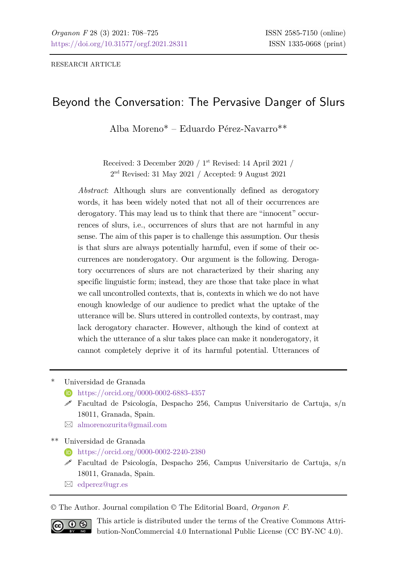RESEARCH ARTICLE

# Beyond the Conversation: The Pervasive Danger of Slurs

Alba Moreno\* – Eduardo Pérez-Navarro\*\*

Received: 3 December 2020 / 1st Revised: 14 April 2021 / 2nd Revised: 31 May 2021 / Accepted: 9 August 2021

*Abstract*: Although slurs are conventionally defined as derogatory words, it has been widely noted that not all of their occurrences are derogatory. This may lead us to think that there are "innocent" occurrences of slurs, i.e., occurrences of slurs that are not harmful in any sense. The aim of this paper is to challenge this assumption. Our thesis is that slurs are always potentially harmful, even if some of their occurrences are nonderogatory. Our argument is the following. Derogatory occurrences of slurs are not characterized by their sharing any specific linguistic form; instead, they are those that take place in what we call uncontrolled contexts, that is, contexts in which we do not have enough knowledge of our audience to predict what the uptake of the utterance will be. Slurs uttered in controlled contexts, by contrast, may lack derogatory character. However, although the kind of context at which the utterance of a slur takes place can make it nonderogatory, it cannot completely deprive it of its harmful potential. Utterances of

\* Universidad de Granada

- **<https://orcid.org/0000-0002-6883-4357>**
- Facultad de Psicología, Despacho 256, Campus Universitario de Cartuja, s/n 18011, Granada, Spain.
- [almorenozurita@gmail.com](mailto:almorenozurita@gmail.com)

\*\* Universidad de Granada

- **h** <https://orcid.org/0000-0002-2240-2380>
- Facultad de Psicología, Despacho 256, Campus Universitario de Cartuja, s/n 18011, Granada, Spain.
- [edperez@ugr.es](mailto:edperez@ugr.es)

© The Author. Journal compilation © The Editorial Board, *Organon F*.



This article is distributed under the terms of the Creative Commons Attribution-NonCommercial 4.0 International Public License (CC BY-NC 4.0).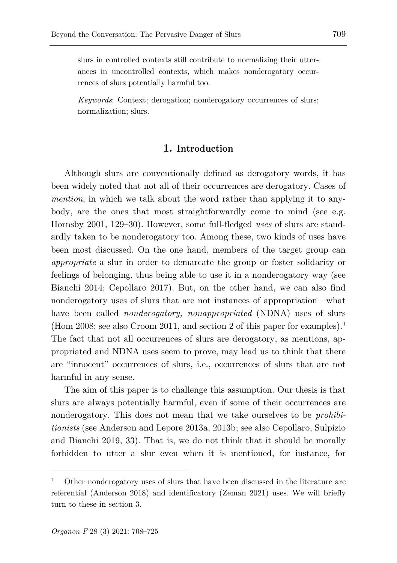slurs in controlled contexts still contribute to normalizing their utterances in uncontrolled contexts, which makes nonderogatory occurrences of slurs potentially harmful too.

*Keywords*: Context; derogation; nonderogatory occurrences of slurs; normalization; slurs.

## **1. Introduction**

Although slurs are conventionally defined as derogatory words, it has been widely noted that not all of their occurrences are derogatory. Cases of *mention*, in which we talk about the word rather than applying it to anybody, are the ones that most straightforwardly come to mind (see e.g. Hornsby 2001, 129–30). However, some full-fledged *uses* of slurs are standardly taken to be nonderogatory too. Among these, two kinds of uses have been most discussed. On the one hand, members of the target group can *appropriate* a slur in order to demarcate the group or foster solidarity or feelings of belonging, thus being able to use it in a nonderogatory way (see Bianchi 2014; Cepollaro 2017). But, on the other hand, we can also find nonderogatory uses of slurs that are not instances of appropriation—what have been called *nonderogatory, nonappropriated* (NDNA) uses of slurs (Hom 2008; see also Croom 20[1](#page-1-0)1, and section 2 of this paper for examples).<sup>1</sup> The fact that not all occurrences of slurs are derogatory, as mentions, appropriated and NDNA uses seem to prove, may lead us to think that there are "innocent" occurrences of slurs, i.e., occurrences of slurs that are not harmful in any sense.

The aim of this paper is to challenge this assumption. Our thesis is that slurs are always potentially harmful, even if some of their occurrences are nonderogatory. This does not mean that we take ourselves to be *prohibitionists* (see Anderson and Lepore 2013a, 2013b; see also Cepollaro, Sulpizio and Bianchi 2019, 33). That is, we do not think that it should be morally forbidden to utter a slur even when it is mentioned, for instance, for

<span id="page-1-0"></span><sup>1</sup> Other nonderogatory uses of slurs that have been discussed in the literature are referential (Anderson 2018) and identificatory (Zeman 2021) uses. We will briefly turn to these in section 3.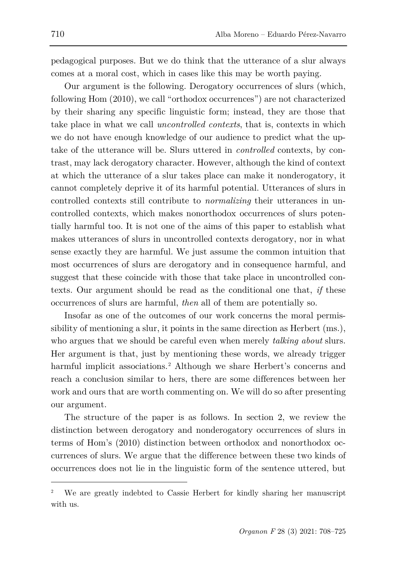pedagogical purposes. But we do think that the utterance of a slur always comes at a moral cost, which in cases like this may be worth paying.

Our argument is the following. Derogatory occurrences of slurs (which, following Hom (2010), we call "orthodox occurrences") are not characterized by their sharing any specific linguistic form; instead, they are those that take place in what we call *uncontrolled contexts*, that is, contexts in which we do not have enough knowledge of our audience to predict what the uptake of the utterance will be. Slurs uttered in *controlled* contexts, by contrast, may lack derogatory character. However, although the kind of context at which the utterance of a slur takes place can make it nonderogatory, it cannot completely deprive it of its harmful potential. Utterances of slurs in controlled contexts still contribute to *normalizing* their utterances in uncontrolled contexts, which makes nonorthodox occurrences of slurs potentially harmful too. It is not one of the aims of this paper to establish what makes utterances of slurs in uncontrolled contexts derogatory, nor in what sense exactly they are harmful. We just assume the common intuition that most occurrences of slurs are derogatory and in consequence harmful, and suggest that these coincide with those that take place in uncontrolled contexts. Our argument should be read as the conditional one that, *if* these occurrences of slurs are harmful, *then* all of them are potentially so.

Insofar as one of the outcomes of our work concerns the moral permissibility of mentioning a slur, it points in the same direction as Herbert (ms.), who argues that we should be careful even when merely *talking about* slurs. Her argument is that, just by mentioning these words, we already trigger harmful implicit associations.<sup>[2](#page-2-0)</sup> Although we share Herbert's concerns and reach a conclusion similar to hers, there are some differences between her work and ours that are worth commenting on. We will do so after presenting our argument.

The structure of the paper is as follows. In section 2, we review the distinction between derogatory and nonderogatory occurrences of slurs in terms of Hom's (2010) distinction between orthodox and nonorthodox occurrences of slurs. We argue that the difference between these two kinds of occurrences does not lie in the linguistic form of the sentence uttered, but

<span id="page-2-0"></span><sup>2</sup> We are greatly indebted to Cassie Herbert for kindly sharing her manuscript with us.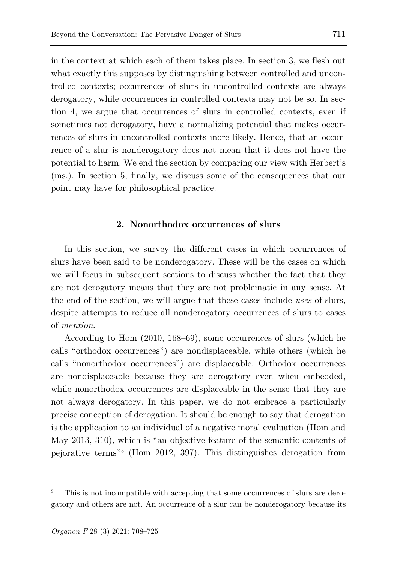in the context at which each of them takes place. In section 3, we flesh out what exactly this supposes by distinguishing between controlled and uncontrolled contexts; occurrences of slurs in uncontrolled contexts are always derogatory, while occurrences in controlled contexts may not be so. In section 4, we argue that occurrences of slurs in controlled contexts, even if sometimes not derogatory, have a normalizing potential that makes occurrences of slurs in uncontrolled contexts more likely. Hence, that an occurrence of a slur is nonderogatory does not mean that it does not have the potential to harm. We end the section by comparing our view with Herbert's (ms.). In section 5, finally, we discuss some of the consequences that our point may have for philosophical practice.

## **2. Nonorthodox occurrences of slurs**

In this section, we survey the different cases in which occurrences of slurs have been said to be nonderogatory. These will be the cases on which we will focus in subsequent sections to discuss whether the fact that they are not derogatory means that they are not problematic in any sense. At the end of the section, we will argue that these cases include *uses* of slurs, despite attempts to reduce all nonderogatory occurrences of slurs to cases of *mention*.

According to Hom (2010, 168–69), some occurrences of slurs (which he calls "orthodox occurrences") are nondisplaceable, while others (which he calls "nonorthodox occurrences") are displaceable. Orthodox occurrences are nondisplaceable because they are derogatory even when embedded, while nonorthodox occurrences are displaceable in the sense that they are not always derogatory. In this paper, we do not embrace a particularly precise conception of derogation. It should be enough to say that derogation is the application to an individual of a negative moral evaluation (Hom and May 2013, 310), which is "an objective feature of the semantic contents of pejorative terms"[3](#page-3-0) (Hom 2012, 397). This distinguishes derogation from

<span id="page-3-0"></span>This is not incompatible with accepting that some occurrences of slurs are derogatory and others are not. An occurrence of a slur can be nonderogatory because its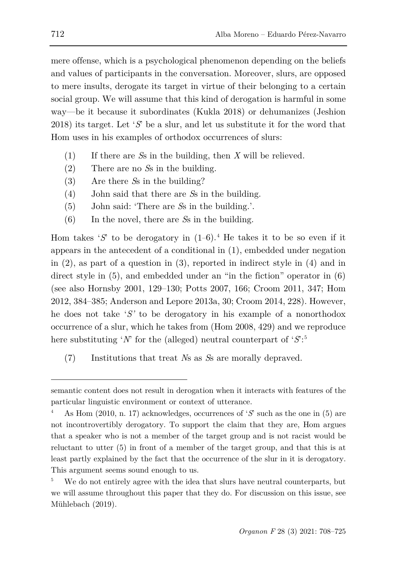mere offense, which is a psychological phenomenon depending on the beliefs and values of participants in the conversation. Moreover, slurs, are opposed to mere insults, derogate its target in virtue of their belonging to a certain social group. We will assume that this kind of derogation is harmful in some way—be it because it subordinates (Kukla 2018) or dehumanizes (Jeshion 2018) its target. Let '*S*' be a slur, and let us substitute it for the word that Hom uses in his examples of orthodox occurrences of slurs:

- (1) If there are *S*s in the building, then *X* will be relieved.
- (2) There are no *S*s in the building.
- (3) Are there *S*s in the building?
- (4) John said that there are *S*s in the building.
- (5) John said: 'There are *S*s in the building.'.
- (6) In the novel, there are *S*s in the building.

Hom takes ' $S'$  to be derogatory in  $(1-6)$ .<sup>[4](#page-4-0)</sup> He takes it to be so even if it appears in the antecedent of a conditional in (1), embedded under negation in (2), as part of a question in (3), reported in indirect style in (4) and in direct style in (5), and embedded under an "in the fiction" operator in (6) (see also Hornsby 2001, 129–130; Potts 2007, 166; Croom 2011, 347; Hom 2012, 384–385; Anderson and Lepore 2013a, 30; Croom 2014, 228). However, he does not take '*S'* to be derogatory in his example of a nonorthodox occurrence of a slur, which he takes from (Hom 2008, 429) and we reproduce here substituting '*N*' for the (alleged) neutral counterpart of '*S*': [5](#page-4-1)

(7) Institutions that treat *N*s as *S*s are morally depraved.

semantic content does not result in derogation when it interacts with features of the particular linguistic environment or context of utterance.

<span id="page-4-0"></span><sup>4</sup> As Hom (2010, n. 17) acknowledges, occurrences of '*S*' such as the one in (5) are not incontrovertibly derogatory. To support the claim that they are, Hom argues that a speaker who is not a member of the target group and is not racist would be reluctant to utter (5) in front of a member of the target group, and that this is at least partly explained by the fact that the occurrence of the slur in it is derogatory. This argument seems sound enough to us.

<span id="page-4-1"></span>We do not entirely agree with the idea that slurs have neutral counterparts, but we will assume throughout this paper that they do. For discussion on this issue, see Mühlebach (2019).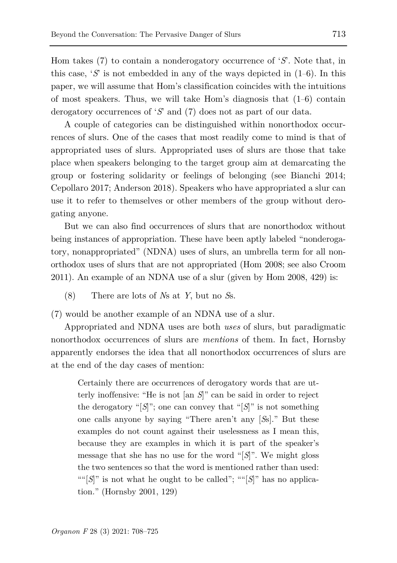Hom takes (7) to contain a nonderogatory occurrence of '*S*'. Note that, in this case,  $\mathcal{S}'$  is not embedded in any of the ways depicted in  $(1-6)$ . In this paper, we will assume that Hom's classification coincides with the intuitions of most speakers. Thus, we will take Hom's diagnosis that (1–6) contain derogatory occurrences of '*S*' and (7) does not as part of our data.

A couple of categories can be distinguished within nonorthodox occurrences of slurs. One of the cases that most readily come to mind is that of appropriated uses of slurs. Appropriated uses of slurs are those that take place when speakers belonging to the target group aim at demarcating the group or fostering solidarity or feelings of belonging (see Bianchi 2014; Cepollaro 2017; Anderson 2018). Speakers who have appropriated a slur can use it to refer to themselves or other members of the group without derogating anyone.

But we can also find occurrences of slurs that are nonorthodox without being instances of appropriation. These have been aptly labeled "nonderogatory, nonappropriated" (NDNA) uses of slurs, an umbrella term for all nonorthodox uses of slurs that are not appropriated (Hom 2008; see also Croom 2011). An example of an NDNA use of a slur (given by Hom 2008, 429) is:

(8) There are lots of *N*s at *Y*, but no *S*s.

(7) would be another example of an NDNA use of a slur.

Appropriated and NDNA uses are both *uses* of slurs, but paradigmatic nonorthodox occurrences of slurs are *mentions* of them. In fact, Hornsby apparently endorses the idea that all nonorthodox occurrences of slurs are at the end of the day cases of mention:

Certainly there are occurrences of derogatory words that are utterly inoffensive: "He is not [an *S*]" can be said in order to reject the derogatory " $[S]$ "; one can convey that " $[S]$ " is not something one calls anyone by saying "There aren't any [*S*s]." But these examples do not count against their uselessness as I mean this, because they are examples in which it is part of the speaker's message that she has no use for the word "[*S*]". We might gloss the two sentences so that the word is mentioned rather than used: "" $[S]$ " is not what he ought to be called"; "" $[S]$ " has no application." (Hornsby 2001, 129)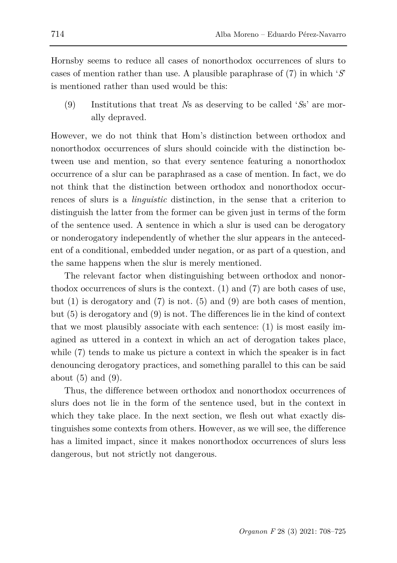Hornsby seems to reduce all cases of nonorthodox occurrences of slurs to cases of mention rather than use. A plausible paraphrase of (7) in which '*S*' is mentioned rather than used would be this:

(9) Institutions that treat *N*s as deserving to be called '*S*s' are morally depraved.

However, we do not think that Hom's distinction between orthodox and nonorthodox occurrences of slurs should coincide with the distinction between use and mention, so that every sentence featuring a nonorthodox occurrence of a slur can be paraphrased as a case of mention. In fact, we do not think that the distinction between orthodox and nonorthodox occurrences of slurs is a *linguistic* distinction, in the sense that a criterion to distinguish the latter from the former can be given just in terms of the form of the sentence used. A sentence in which a slur is used can be derogatory or nonderogatory independently of whether the slur appears in the antecedent of a conditional, embedded under negation, or as part of a question, and the same happens when the slur is merely mentioned.

The relevant factor when distinguishing between orthodox and nonorthodox occurrences of slurs is the context. (1) and (7) are both cases of use, but  $(1)$  is derogatory and  $(7)$  is not.  $(5)$  and  $(9)$  are both cases of mention, but (5) is derogatory and (9) is not. The differences lie in the kind of context that we most plausibly associate with each sentence: (1) is most easily imagined as uttered in a context in which an act of derogation takes place, while (7) tends to make us picture a context in which the speaker is in fact denouncing derogatory practices, and something parallel to this can be said about  $(5)$  and  $(9)$ .

Thus, the difference between orthodox and nonorthodox occurrences of slurs does not lie in the form of the sentence used, but in the context in which they take place. In the next section, we flesh out what exactly distinguishes some contexts from others. However, as we will see, the difference has a limited impact, since it makes nonorthodox occurrences of slurs less dangerous, but not strictly not dangerous.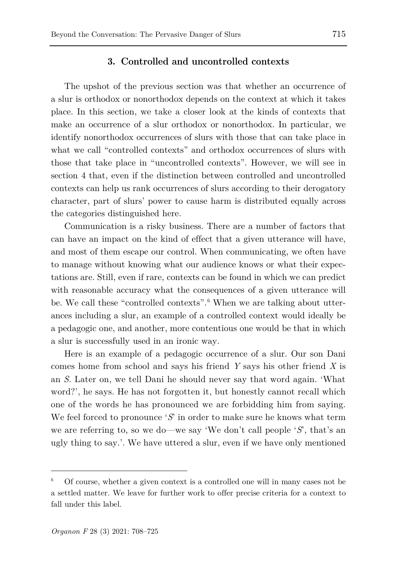## **3. Controlled and uncontrolled contexts**

The upshot of the previous section was that whether an occurrence of a slur is orthodox or nonorthodox depends on the context at which it takes place. In this section, we take a closer look at the kinds of contexts that make an occurrence of a slur orthodox or nonorthodox. In particular, we identify nonorthodox occurrences of slurs with those that can take place in what we call "controlled contexts" and orthodox occurrences of slurs with those that take place in "uncontrolled contexts". However, we will see in section 4 that, even if the distinction between controlled and uncontrolled contexts can help us rank occurrences of slurs according to their derogatory character, part of slurs' power to cause harm is distributed equally across the categories distinguished here.

Communication is a risky business. There are a number of factors that can have an impact on the kind of effect that a given utterance will have, and most of them escape our control. When communicating, we often have to manage without knowing what our audience knows or what their expectations are. Still, even if rare, contexts can be found in which we can predict with reasonable accuracy what the consequences of a given utterance will be. We call these "controlled contexts".<sup>[6](#page-7-0)</sup> When we are talking about utterances including a slur, an example of a controlled context would ideally be a pedagogic one, and another, more contentious one would be that in which a slur is successfully used in an ironic way.

Here is an example of a pedagogic occurrence of a slur. Our son Dani comes home from school and says his friend *Y* says his other friend *X* is an *S*. Later on, we tell Dani he should never say that word again. 'What word?', he says. He has not forgotten it, but honestly cannot recall which one of the words he has pronounced we are forbidding him from saying. We feel forced to pronounce '*S*' in order to make sure he knows what term we are referring to, so we do—we say 'We don't call people '*S*', that's an ugly thing to say.'. We have uttered a slur, even if we have only mentioned

<span id="page-7-0"></span><sup>6</sup> Of course, whether a given context is a controlled one will in many cases not be a settled matter. We leave for further work to offer precise criteria for a context to fall under this label.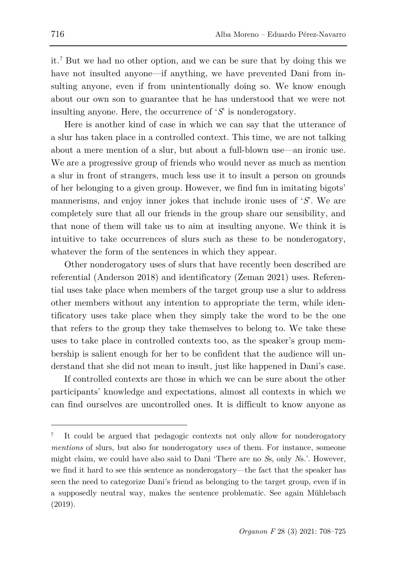it.[7](#page-8-0) But we had no other option, and we can be sure that by doing this we have not insulted anyone—if anything, we have prevented Dani from insulting anyone, even if from unintentionally doing so. We know enough about our own son to guarantee that he has understood that we were not insulting anyone. Here, the occurrence of '*S*' is nonderogatory.

Here is another kind of case in which we can say that the utterance of a slur has taken place in a controlled context. This time, we are not talking about a mere mention of a slur, but about a full-blown use—an ironic use. We are a progressive group of friends who would never as much as mention a slur in front of strangers, much less use it to insult a person on grounds of her belonging to a given group. However, we find fun in imitating bigots' mannerisms, and enjoy inner jokes that include ironic uses of '*S*'. We are completely sure that all our friends in the group share our sensibility, and that none of them will take us to aim at insulting anyone. We think it is intuitive to take occurrences of slurs such as these to be nonderogatory, whatever the form of the sentences in which they appear.

Other nonderogatory uses of slurs that have recently been described are referential (Anderson 2018) and identificatory (Zeman 2021) uses. Referential uses take place when members of the target group use a slur to address other members without any intention to appropriate the term, while identificatory uses take place when they simply take the word to be the one that refers to the group they take themselves to belong to. We take these uses to take place in controlled contexts too, as the speaker's group membership is salient enough for her to be confident that the audience will understand that she did not mean to insult, just like happened in Dani's case.

If controlled contexts are those in which we can be sure about the other participants' knowledge and expectations, almost all contexts in which we can find ourselves are uncontrolled ones. It is difficult to know anyone as

<span id="page-8-0"></span>It could be argued that pedagogic contexts not only allow for nonderogatory *mentions* of slurs, but also for nonderogatory *uses* of them. For instance, someone might claim, we could have also said to Dani 'There are no *S*s, only *N*s.'. However, we find it hard to see this sentence as nonderogatory—the fact that the speaker has seen the need to categorize Dani's friend as belonging to the target group, even if in a supposedly neutral way, makes the sentence problematic. See again Mühlebach (2019).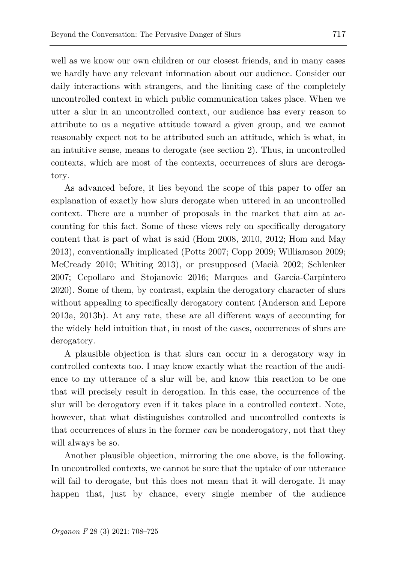well as we know our own children or our closest friends, and in many cases we hardly have any relevant information about our audience. Consider our daily interactions with strangers, and the limiting case of the completely uncontrolled context in which public communication takes place. When we utter a slur in an uncontrolled context, our audience has every reason to attribute to us a negative attitude toward a given group, and we cannot reasonably expect not to be attributed such an attitude, which is what, in an intuitive sense, means to derogate (see section 2). Thus, in uncontrolled contexts, which are most of the contexts, occurrences of slurs are derogatory.

As advanced before, it lies beyond the scope of this paper to offer an explanation of exactly how slurs derogate when uttered in an uncontrolled context. There are a number of proposals in the market that aim at accounting for this fact. Some of these views rely on specifically derogatory content that is part of what is said (Hom 2008, 2010, 2012; Hom and May 2013), conventionally implicated (Potts 2007; Copp 2009; Williamson 2009; McCready 2010; Whiting 2013), or presupposed (Macià 2002; Schlenker 2007; Cepollaro and Stojanovic 2016; Marques and García-Carpintero 2020). Some of them, by contrast, explain the derogatory character of slurs without appealing to specifically derogatory content (Anderson and Lepore 2013a, 2013b). At any rate, these are all different ways of accounting for the widely held intuition that, in most of the cases, occurrences of slurs are derogatory.

A plausible objection is that slurs can occur in a derogatory way in controlled contexts too. I may know exactly what the reaction of the audience to my utterance of a slur will be, and know this reaction to be one that will precisely result in derogation. In this case, the occurrence of the slur will be derogatory even if it takes place in a controlled context. Note, however, that what distinguishes controlled and uncontrolled contexts is that occurrences of slurs in the former *can* be nonderogatory, not that they will always be so.

Another plausible objection, mirroring the one above, is the following. In uncontrolled contexts, we cannot be sure that the uptake of our utterance will fail to derogate, but this does not mean that it will derogate. It may happen that, just by chance, every single member of the audience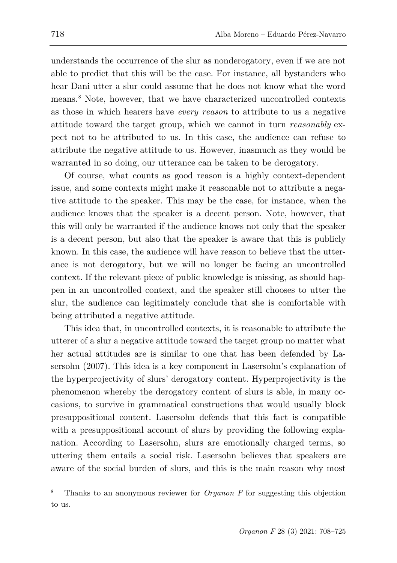understands the occurrence of the slur as nonderogatory, even if we are not able to predict that this will be the case. For instance, all bystanders who hear Dani utter a slur could assume that he does not know what the word means.[8](#page-10-0) Note, however, that we have characterized uncontrolled contexts as those in which hearers have *every reason* to attribute to us a negative attitude toward the target group, which we cannot in turn *reasonably* expect not to be attributed to us. In this case, the audience can refuse to attribute the negative attitude to us. However, inasmuch as they would be warranted in so doing, our utterance can be taken to be derogatory.

Of course, what counts as good reason is a highly context-dependent issue, and some contexts might make it reasonable not to attribute a negative attitude to the speaker. This may be the case, for instance, when the audience knows that the speaker is a decent person. Note, however, that this will only be warranted if the audience knows not only that the speaker is a decent person, but also that the speaker is aware that this is publicly known. In this case, the audience will have reason to believe that the utterance is not derogatory, but we will no longer be facing an uncontrolled context. If the relevant piece of public knowledge is missing, as should happen in an uncontrolled context, and the speaker still chooses to utter the slur, the audience can legitimately conclude that she is comfortable with being attributed a negative attitude.

This idea that, in uncontrolled contexts, it is reasonable to attribute the utterer of a slur a negative attitude toward the target group no matter what her actual attitudes are is similar to one that has been defended by Lasersohn (2007). This idea is a key component in Lasersohn's explanation of the hyperprojectivity of slurs' derogatory content. Hyperprojectivity is the phenomenon whereby the derogatory content of slurs is able, in many occasions, to survive in grammatical constructions that would usually block presuppositional content. Lasersohn defends that this fact is compatible with a presuppositional account of slurs by providing the following explanation. According to Lasersohn, slurs are emotionally charged terms, so uttering them entails a social risk. Lasersohn believes that speakers are aware of the social burden of slurs, and this is the main reason why most

<span id="page-10-0"></span><sup>8</sup> Thanks to an anonymous reviewer for *Organon F* for suggesting this objection to us.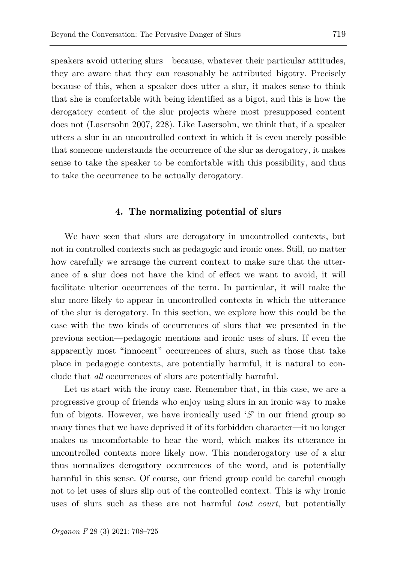speakers avoid uttering slurs—because, whatever their particular attitudes, they are aware that they can reasonably be attributed bigotry. Precisely because of this, when a speaker does utter a slur, it makes sense to think that she is comfortable with being identified as a bigot, and this is how the derogatory content of the slur projects where most presupposed content does not (Lasersohn 2007, 228). Like Lasersohn, we think that, if a speaker utters a slur in an uncontrolled context in which it is even merely possible that someone understands the occurrence of the slur as derogatory, it makes sense to take the speaker to be comfortable with this possibility, and thus to take the occurrence to be actually derogatory.

# **4. The normalizing potential of slurs**

We have seen that slurs are derogatory in uncontrolled contexts, but not in controlled contexts such as pedagogic and ironic ones. Still, no matter how carefully we arrange the current context to make sure that the utterance of a slur does not have the kind of effect we want to avoid, it will facilitate ulterior occurrences of the term. In particular, it will make the slur more likely to appear in uncontrolled contexts in which the utterance of the slur is derogatory. In this section, we explore how this could be the case with the two kinds of occurrences of slurs that we presented in the previous section—pedagogic mentions and ironic uses of slurs. If even the apparently most "innocent" occurrences of slurs, such as those that take place in pedagogic contexts, are potentially harmful, it is natural to conclude that *all* occurrences of slurs are potentially harmful.

Let us start with the irony case. Remember that, in this case, we are a progressive group of friends who enjoy using slurs in an ironic way to make fun of bigots. However, we have ironically used '*S*' in our friend group so many times that we have deprived it of its forbidden character—it no longer makes us uncomfortable to hear the word, which makes its utterance in uncontrolled contexts more likely now. This nonderogatory use of a slur thus normalizes derogatory occurrences of the word, and is potentially harmful in this sense. Of course, our friend group could be careful enough not to let uses of slurs slip out of the controlled context. This is why ironic uses of slurs such as these are not harmful *tout court*, but potentially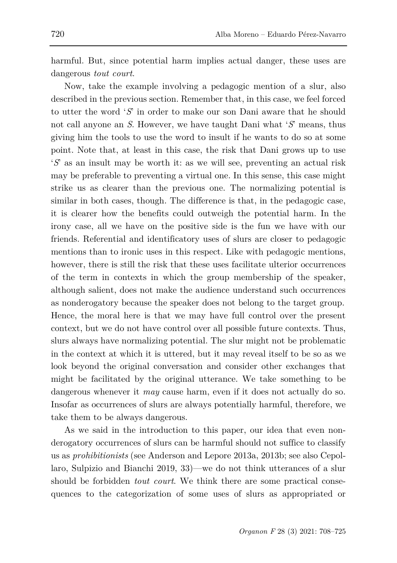harmful. But, since potential harm implies actual danger, these uses are dangerous *tout court*.

Now, take the example involving a pedagogic mention of a slur, also described in the previous section. Remember that, in this case, we feel forced to utter the word '*S*' in order to make our son Dani aware that he should not call anyone an *S*. However, we have taught Dani what '*S*' means, thus giving him the tools to use the word to insult if he wants to do so at some point. Note that, at least in this case, the risk that Dani grows up to use '*S*' as an insult may be worth it: as we will see, preventing an actual risk may be preferable to preventing a virtual one. In this sense, this case might strike us as clearer than the previous one. The normalizing potential is similar in both cases, though. The difference is that, in the pedagogic case, it is clearer how the benefits could outweigh the potential harm. In the irony case, all we have on the positive side is the fun we have with our friends. Referential and identificatory uses of slurs are closer to pedagogic mentions than to ironic uses in this respect. Like with pedagogic mentions, however, there is still the risk that these uses facilitate ulterior occurrences of the term in contexts in which the group membership of the speaker, although salient, does not make the audience understand such occurrences as nonderogatory because the speaker does not belong to the target group. Hence, the moral here is that we may have full control over the present context, but we do not have control over all possible future contexts. Thus, slurs always have normalizing potential. The slur might not be problematic in the context at which it is uttered, but it may reveal itself to be so as we look beyond the original conversation and consider other exchanges that might be facilitated by the original utterance. We take something to be dangerous whenever it *may* cause harm, even if it does not actually do so. Insofar as occurrences of slurs are always potentially harmful, therefore, we take them to be always dangerous.

As we said in the introduction to this paper, our idea that even nonderogatory occurrences of slurs can be harmful should not suffice to classify us as *prohibitionists* (see Anderson and Lepore 2013a, 2013b; see also Cepollaro, Sulpizio and Bianchi 2019, 33)—we do not think utterances of a slur should be forbidden *tout court*. We think there are some practical consequences to the categorization of some uses of slurs as appropriated or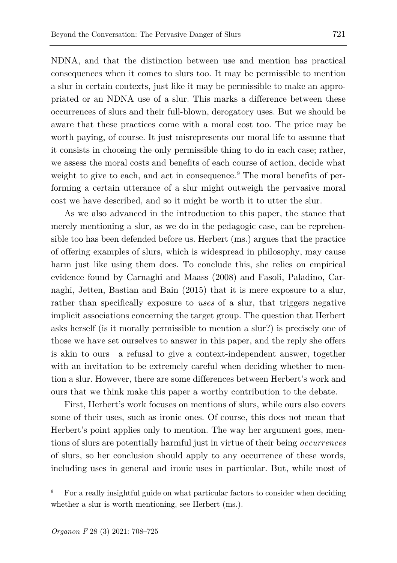NDNA, and that the distinction between use and mention has practical consequences when it comes to slurs too. It may be permissible to mention a slur in certain contexts, just like it may be permissible to make an appropriated or an NDNA use of a slur. This marks a difference between these occurrences of slurs and their full-blown, derogatory uses. But we should be aware that these practices come with a moral cost too. The price may be worth paying, of course. It just misrepresents our moral life to assume that it consists in choosing the only permissible thing to do in each case; rather, we assess the moral costs and benefits of each course of action, decide what weight to give to each, and act in consequence.<sup>[9](#page-13-0)</sup> The moral benefits of performing a certain utterance of a slur might outweigh the pervasive moral cost we have described, and so it might be worth it to utter the slur.

As we also advanced in the introduction to this paper, the stance that merely mentioning a slur, as we do in the pedagogic case, can be reprehensible too has been defended before us. Herbert (ms.) argues that the practice of offering examples of slurs, which is widespread in philosophy, may cause harm just like using them does. To conclude this, she relies on empirical evidence found by Carnaghi and Maass (2008) and Fasoli, Paladino, Carnaghi, Jetten, Bastian and Bain (2015) that it is mere exposure to a slur, rather than specifically exposure to *uses* of a slur, that triggers negative implicit associations concerning the target group. The question that Herbert asks herself (is it morally permissible to mention a slur?) is precisely one of those we have set ourselves to answer in this paper, and the reply she offers is akin to ours—a refusal to give a context-independent answer, together with an invitation to be extremely careful when deciding whether to mention a slur. However, there are some differences between Herbert's work and ours that we think make this paper a worthy contribution to the debate.

First, Herbert's work focuses on mentions of slurs, while ours also covers some of their uses, such as ironic ones. Of course, this does not mean that Herbert's point applies only to mention. The way her argument goes, mentions of slurs are potentially harmful just in virtue of their being *occurrences* of slurs, so her conclusion should apply to any occurrence of these words, including uses in general and ironic uses in particular. But, while most of

<span id="page-13-0"></span><sup>9</sup> For a really insightful guide on what particular factors to consider when deciding whether a slur is worth mentioning, see Herbert (ms.).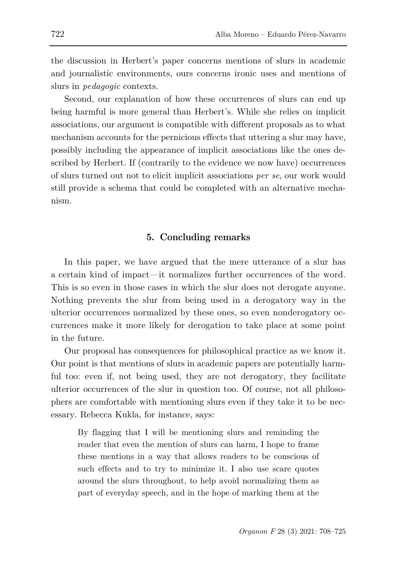the discussion in Herbert's paper concerns mentions of slurs in academic and journalistic environments, ours concerns ironic uses and mentions of slurs in *pedagogic* contexts.

Second, our explanation of how these occurrences of slurs can end up being harmful is more general than Herbert's. While she relies on implicit associations, our argument is compatible with different proposals as to what mechanism accounts for the pernicious effects that uttering a slur may have, possibly including the appearance of implicit associations like the ones described by Herbert. If (contrarily to the evidence we now have) occurrences of slurs turned out not to elicit implicit associations *per se*, our work would still provide a schema that could be completed with an alternative mechanism.

# **5. Concluding remarks**

In this paper, we have argued that the mere utterance of a slur has a certain kind of impact—it normalizes further occurrences of the word. This is so even in those cases in which the slur does not derogate anyone. Nothing prevents the slur from being used in a derogatory way in the ulterior occurrences normalized by these ones, so even nonderogatory occurrences make it more likely for derogation to take place at some point in the future.

Our proposal has consequences for philosophical practice as we know it. Our point is that mentions of slurs in academic papers are potentially harmful too: even if, not being used, they are not derogatory, they facilitate ulterior occurrences of the slur in question too. Of course, not all philosophers are comfortable with mentioning slurs even if they take it to be necessary. Rebecca Kukla, for instance, says:

By flagging that I will be mentioning slurs and reminding the reader that even the mention of slurs can harm, I hope to frame these mentions in a way that allows readers to be conscious of such effects and to try to minimize it. I also use scare quotes around the slurs throughout, to help avoid normalizing them as part of everyday speech, and in the hope of marking them at the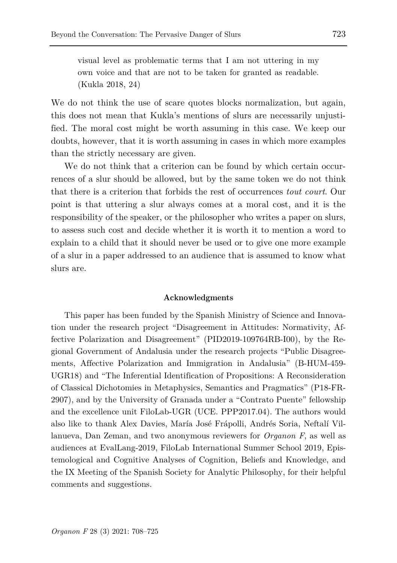visual level as problematic terms that I am not uttering in my own voice and that are not to be taken for granted as readable. (Kukla 2018, 24)

We do not think the use of scare quotes blocks normalization, but again, this does not mean that Kukla's mentions of slurs are necessarily unjustified. The moral cost might be worth assuming in this case. We keep our doubts, however, that it is worth assuming in cases in which more examples than the strictly necessary are given.

We do not think that a criterion can be found by which certain occurrences of a slur should be allowed, but by the same token we do not think that there is a criterion that forbids the rest of occurrences *tout court*. Our point is that uttering a slur always comes at a moral cost, and it is the responsibility of the speaker, or the philosopher who writes a paper on slurs, to assess such cost and decide whether it is worth it to mention a word to explain to a child that it should never be used or to give one more example of a slur in a paper addressed to an audience that is assumed to know what slurs are.

#### **Acknowledgments**

This paper has been funded by the Spanish Ministry of Science and Innovation under the research project "Disagreement in Attitudes: Normativity, Affective Polarization and Disagreement" (PID2019-109764RB-I00), by the Regional Government of Andalusia under the research projects "Public Disagreements, Affective Polarization and Immigration in Andalusia" (B-HUM-459- UGR18) and "The Inferential Identification of Propositions: A Reconsideration of Classical Dichotomies in Metaphysics, Semantics and Pragmatics" (P18-FR-2907), and by the University of Granada under a "Contrato Puente" fellowship and the excellence unit FiloLab-UGR (UCE. PPP2017.04). The authors would also like to thank Alex Davies, María José Frápolli, Andrés Soria, Neftalí Villanueva, Dan Zeman, and two anonymous reviewers for *Organon F*, as well as audiences at EvalLang-2019, FiloLab International Summer School 2019, Epistemological and Cognitive Analyses of Cognition, Beliefs and Knowledge, and the IX Meeting of the Spanish Society for Analytic Philosophy, for their helpful comments and suggestions.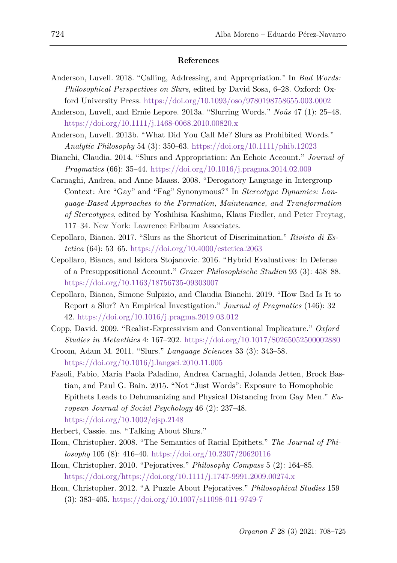#### **References**

- Anderson, Luvell. 2018. "Calling, Addressing, and Appropriation." In *Bad Words: Philosophical Perspectives on Slurs*, edited by David Sosa, 6–28. Oxford: Oxford University Press.<https://doi.org/10.1093/oso/9780198758655.003.0002>
- Anderson, Luvell, and Ernie Lepore. 2013a. "Slurring Words." *Noûs* 47 (1): 25–48. <https://doi.org/10.1111/j.1468-0068.2010.00820.x>
- Anderson, Luvell. 2013b. "What Did You Call Me? Slurs as Prohibited Words." *Analytic Philosophy* 54 (3): 350–63. <https://doi.org/10.1111/phib.12023>
- Bianchi, Claudia. 2014. "Slurs and Appropriation: An Echoic Account." *Journal of Pragmatics* (66): 35–44. <https://doi.org/10.1016/j.pragma.2014.02.009>
- Carnaghi, Andrea, and Anne Maass. 2008. "Derogatory Language in Intergroup Context: Are "Gay" and "Fag" Synonymous?" In *Stereotype Dynamics: Language-Based Approaches to the Formation, Maintenance, and Transformation of Stereotypes*, edited by Yoshihisa Kashima, Klaus Fiedler, and Peter Freytag, 117–34. New York: Lawrence Erlbaum Associates.
- Cepollaro, Bianca. 2017. "Slurs as the Shortcut of Discrimination." *Rivista di Estetica* (64): 53–65. <https://doi.org/10.4000/estetica.2063>
- Cepollaro, Bianca, and Isidora Stojanovic. 2016. "Hybrid Evaluatives: In Defense of a Presuppositional Account." *Grazer Philosophische Studien* 93 (3): 458–88. <https://doi.org/10.1163/18756735-09303007>
- Cepollaro, Bianca, Simone Sulpizio, and Claudia Bianchi. 2019. "How Bad Is It to Report a Slur? An Empirical Investigation." *Journal of Pragmatics* (146): 32– 42. <https://doi.org/10.1016/j.pragma.2019.03.012>
- Copp, David. 2009. "Realist-Expressivism and Conventional Implicature." *Oxford Studies in Metaethics* 4: 167–202.<https://doi.org/10.1017/S0265052500002880>
- Croom, Adam M. 2011. "Slurs." *Language Sciences* 33 (3): 343–58. <https://doi.org/10.1016/j.langsci.2010.11.005>
- Fasoli, Fabio, Maria Paola Paladino, Andrea Carnaghi, Jolanda Jetten, Brock Bastian, and Paul G. Bain. 2015. "Not "Just Words": Exposure to Homophobic Epithets Leads to Dehumanizing and Physical Distancing from Gay Men." *European Journal of Social Psychology* 46 (2): 237–48. <https://doi.org/10.1002/ejsp.2148>
- Herbert, Cassie. ms. "Talking About Slurs."
- Hom, Christopher. 2008. "The Semantics of Racial Epithets." *The Journal of Philosophy* 105 (8): 416–40.<https://doi.org/10.2307/20620116>
- Hom, Christopher. 2010. "Pejoratives." *Philosophy Compass* 5 (2): 164–85. [https://doi.org/https://doi.org/10.1111/j.1747-9991.2009.00274.x](https://doi.org/https:/doi.org/10.1111/j.1747-9991.2009.00274.x)
- Hom, Christopher. 2012. "A Puzzle About Pejoratives." *Philosophical Studies* 159 (3): 383–405.<https://doi.org/10.1007/s11098-011-9749-7>